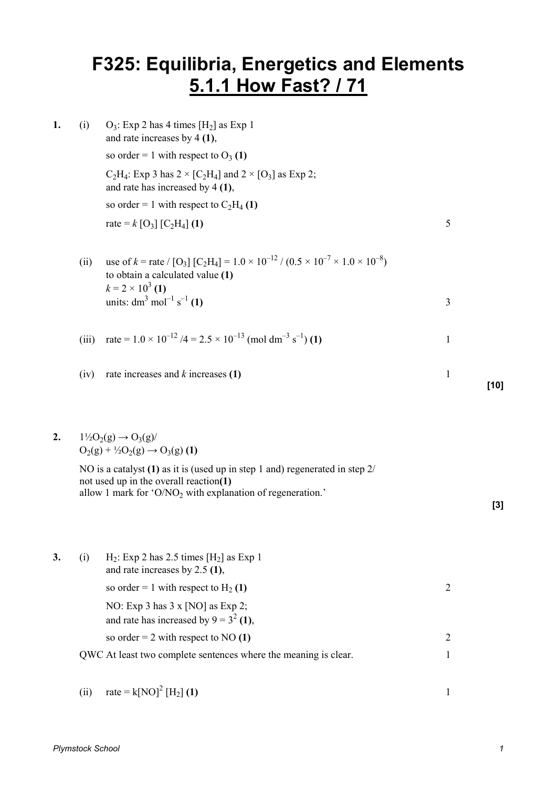## **F325: Equilibria, Energetics and Elements 5.1.1 How Fast? / 71**

| 1. | (i)   | $O_3$ : Exp 2 has 4 times [H <sub>2</sub> ] as Exp 1<br>and rate increases by $4(1)$ ,                                                                                               |              |        |
|----|-------|--------------------------------------------------------------------------------------------------------------------------------------------------------------------------------------|--------------|--------|
|    |       | so order = 1 with respect to $O_3$ (1)                                                                                                                                               |              |        |
|    |       | $C_2H_4$ : Exp 3 has $2 \times [C_2H_4]$ and $2 \times [O_3]$ as Exp 2;<br>and rate has increased by $4(1)$ ,                                                                        |              |        |
|    |       | so order = 1 with respect to $C_2H_4$ (1)                                                                                                                                            |              |        |
|    |       | rate = $k$ [O <sub>3</sub> ] [C <sub>2</sub> H <sub>4</sub> ] (1)                                                                                                                    | 5            |        |
|    |       |                                                                                                                                                                                      |              |        |
|    | (ii)  | use of k = rate / [O <sub>3</sub> ] [C <sub>2</sub> H <sub>4</sub> ] = $1.0 \times 10^{-12}$ / (0.5 $\times 10^{-7} \times 1.0 \times 10^{-8}$ )<br>to obtain a calculated value (1) |              |        |
|    |       | $k = 2 \times 10^3$ (1)<br>units: $dm^3$ mol <sup>-1</sup> s <sup>-1</sup> (1)                                                                                                       | 3            |        |
|    | (iii) | rate = $1.0 \times 10^{-12}$ /4 = $2.5 \times 10^{-13}$ (mol dm <sup>-3</sup> s <sup>-1</sup> ) (1)                                                                                  | $\mathbf{1}$ |        |
|    | (iv)  | rate increases and $k$ increases $(1)$                                                                                                                                               | $\mathbf{1}$ | $[10]$ |
|    |       |                                                                                                                                                                                      |              |        |
|    |       |                                                                                                                                                                                      |              |        |

## **2.**  $1\frac{1}{2}O_2(g) \rightarrow O_3(g)$  $O_2(g) + \frac{1}{2}O_2(g) \rightarrow O_3(g)$  (1)

 NO is a catalyst **(1)** as it is (used up in step 1 and) regenerated in step 2/ not used up in the overall reaction**(1)**  allow 1 mark for 'O/NO<sub>2</sub> with explanation of regeneration.'

**3.** (i) : Exp 2 has  $2.5$  times  $[H_2]$  as Exp 1 and rate increases by 2.5 **(1)**, so order = 1 with respect to  $H_2(1)$ **(1)** 2 NO: Exp 3 has 3 x [NO] as Exp 2; and rate has increased by  $9 = 3^2 (1)$ , so order = 2 with respect to NO **(1)** 2 QWC At least two complete sentences where the meaning is clear. 1

(ii) rate = 
$$
k[NO]^2 [H_2] (1)
$$
 1

**[3]**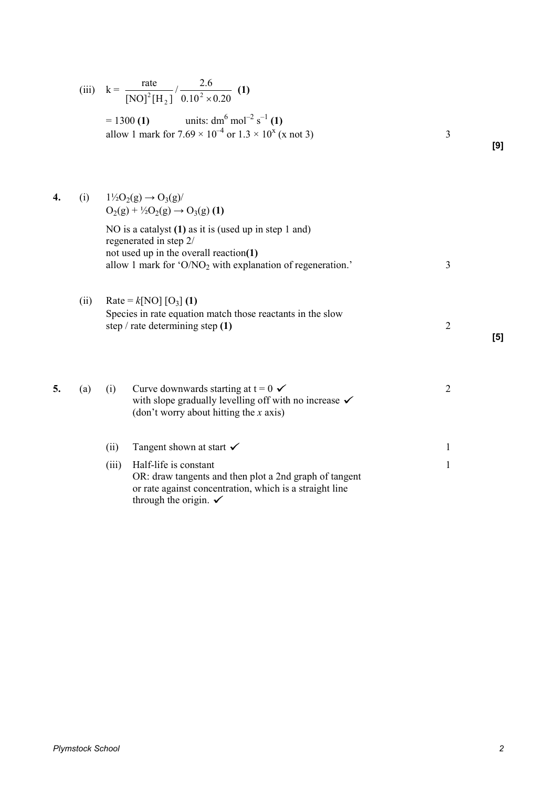|      | $= 1300$ (1) units: dm <sup>6</sup> mol <sup>-2</sup> s <sup>-1</sup> (1)<br>allow 1 mark for $7.69 \times 10^{-4}$ or $1.3 \times 10^{x}$ (x not 3)                                         | 3                                                                          | [9] |
|------|----------------------------------------------------------------------------------------------------------------------------------------------------------------------------------------------|----------------------------------------------------------------------------|-----|
| (i)  | $1\frac{1}{2}O_2(g) \to O_3(g)$<br>$O_2(g) + \frac{1}{2}O_2(g) \rightarrow O_3(g)$ (1)                                                                                                       |                                                                            |     |
|      | NO is a catalyst $(1)$ as it is (used up in step 1 and)<br>regenerated in step 2/<br>not used up in the overall reaction(1)<br>allow 1 mark for ' $O/NO2$ with explanation of regeneration.' | 3                                                                          |     |
| (ii) | Rate = $k[NO][O_3](1)$<br>Species in rate equation match those reactants in the slow<br>step / rate determining step $(1)$                                                                   | $\overline{2}$                                                             | [5] |
| (a)  | Curve downwards starting at $t = 0 \checkmark$<br>(i)<br>with slope gradually levelling off with no increase $\checkmark$<br>(don't worry about hitting the $x$ axis)                        | $\overline{2}$                                                             |     |
|      | Tangent shown at start $\checkmark$<br>(ii)                                                                                                                                                  | 1                                                                          |     |
|      | Half-life is constant<br>(iii)<br>OR: draw tangents and then plot a 2nd graph of tangent<br>or rate against concentration, which is a straight line<br>through the origin. $\checkmark$      | 1                                                                          |     |
|      |                                                                                                                                                                                              | (iii) $k = {rate \over  NO ^2  H_2 } / {2.6 \over 0.10^2 \times 0.20}$ (1) |     |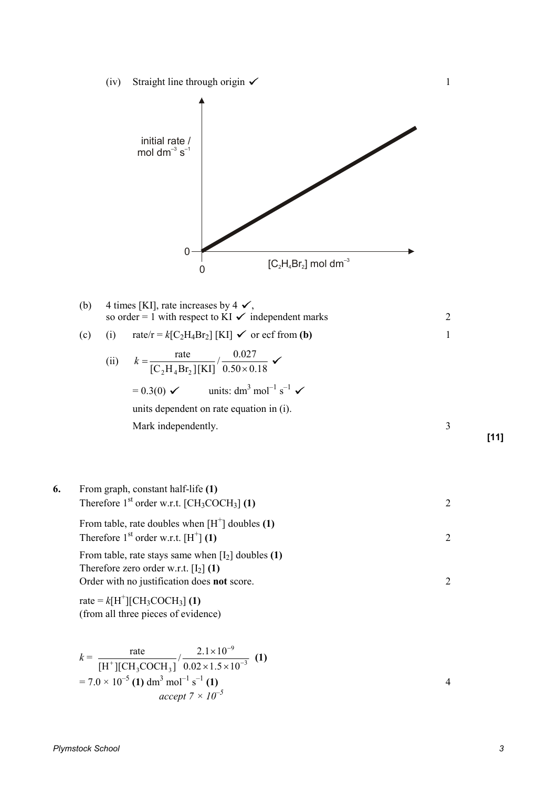(iv) Straight line through origin  $\checkmark$  1



(c) (i) rate/r = 
$$
k[C_2H_4Br_2]
$$
 [KI]  $\checkmark$  or ecf from (**b**) 1

(ii) 
$$
k = \frac{\text{rate}}{[C_2H_4Br_2][KI]} / \frac{0.027}{0.50 \times 0.18}
$$
  
= 0.3(0)  $\checkmark$  units: dm<sup>3</sup> mol<sup>-1</sup> s<sup>-1</sup>  $\checkmark$   
units dependent on rate equation in (i).  
Mark independently.

6. From graph, constant half-life (1)  
\nTherefore 1<sup>st</sup> order w.r.t. [CH<sub>3</sub>COCH<sub>3</sub>] (1) 2  
\nFrom table, rate doubles when [H<sup>+</sup>] doubles (1)  
\nTherefore 1<sup>st</sup> order w.r.t. [H<sup>+</sup>] (1) 2  
\nFrom table, rate stays same when [I<sub>2</sub>] doubles (1)  
\nTherefore zero order w.r.t. [I<sub>2</sub>] (1)  
\nOrder with no justification does **not** score.  
\nrate = 
$$
k[H^+][CH_3COCH_3]
$$
 (1)  
\n(from all three pieces of evidence)

$$
k = \frac{\text{rate}}{[\text{H}^+][\text{CH}_3\text{COCH}_3]} / \frac{2.1 \times 10^{-9}}{0.02 \times 1.5 \times 10^{-3}} \tag{1}
$$
  
= 7.0 × 10<sup>-5</sup> (1) dm<sup>3</sup> mol<sup>-1</sup> s<sup>-1</sup> (1)  
accept 7 × 10<sup>-5</sup>

**[11]**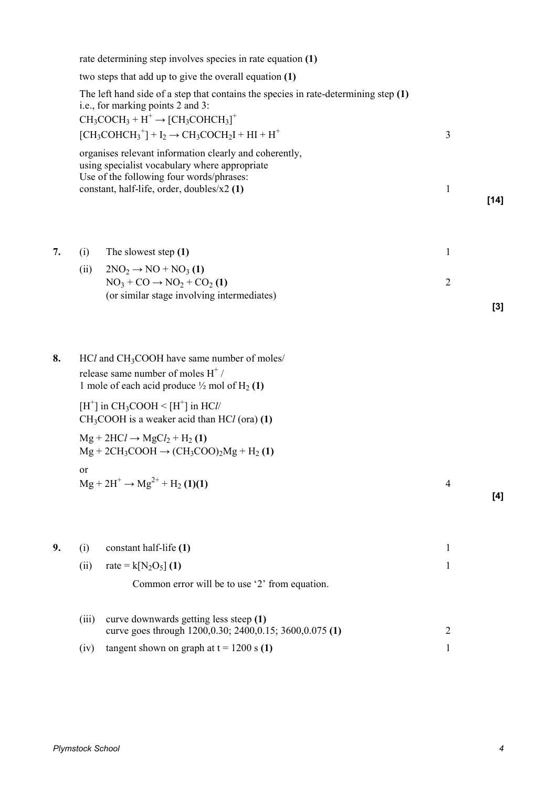|    | rate determining step involves species in rate equation (1)                                                                                                                                                                                                         |                                                                                                                          |                |        |  |  |
|----|---------------------------------------------------------------------------------------------------------------------------------------------------------------------------------------------------------------------------------------------------------------------|--------------------------------------------------------------------------------------------------------------------------|----------------|--------|--|--|
|    | two steps that add up to give the overall equation (1)                                                                                                                                                                                                              |                                                                                                                          |                |        |  |  |
|    |                                                                                                                                                                                                                                                                     | The left hand side of a step that contains the species in rate-determining step (1)<br>i.e., for marking points 2 and 3: |                |        |  |  |
|    | $CH_3COCH_3 + H^+ \rightarrow [CH_3COHCH_3]^+$<br>$[CH_3COHCH_3^+] + I_2 \rightarrow CH_3COCH_2I + HI + H^+$<br>organises relevant information clearly and coherently,<br>using specialist vocabulary where appropriate<br>Use of the following four words/phrases: |                                                                                                                          | 3              |        |  |  |
|    |                                                                                                                                                                                                                                                                     |                                                                                                                          |                |        |  |  |
|    |                                                                                                                                                                                                                                                                     | constant, half-life, order, doubles/x2 (1)                                                                               | 1              | $[14]$ |  |  |
| 7. | (i)                                                                                                                                                                                                                                                                 | The slowest step (1)                                                                                                     | 1              |        |  |  |
|    | (ii)                                                                                                                                                                                                                                                                | $2NO2 \rightarrow NO + NO3(1)$                                                                                           |                |        |  |  |
|    |                                                                                                                                                                                                                                                                     | $NO3 + CO \rightarrow NO2 + CO2(1)$                                                                                      | $\overline{2}$ |        |  |  |
|    |                                                                                                                                                                                                                                                                     | (or similar stage involving intermediates)                                                                               |                | $[3]$  |  |  |
| 8. | HCl and CH <sub>3</sub> COOH have same number of moles/<br>release same number of moles $H^+$ /<br>1 mole of each acid produce $\frac{1}{2}$ mol of H <sub>2</sub> (1)                                                                                              |                                                                                                                          |                |        |  |  |
|    | $[H^+]$ in CH <sub>3</sub> COOH < $[H^+]$ in HCl/<br>$CH3COOH$ is a weaker acid than $HCl$ (ora) (1)                                                                                                                                                                |                                                                                                                          |                |        |  |  |
|    | $Mg + 2HCl \rightarrow MgCl_2 + H_2(1)$<br>$Mg + 2CH_3COOH \rightarrow (CH_3COO)_2Mg + H_2(1)$                                                                                                                                                                      |                                                                                                                          |                |        |  |  |
|    |                                                                                                                                                                                                                                                                     | $Mg + 2H^+ \rightarrow Mg^{2+} + H_2(1)(1)$                                                                              | 4              | [4]    |  |  |
| 9. | (i)                                                                                                                                                                                                                                                                 | constant half-life (1)                                                                                                   | $\mathbf{1}$   |        |  |  |
|    | (ii)                                                                                                                                                                                                                                                                | rate = $k[N_2O_5]$ (1)                                                                                                   | 1              |        |  |  |
|    |                                                                                                                                                                                                                                                                     | Common error will be to use '2' from equation.                                                                           |                |        |  |  |
|    | (iii)                                                                                                                                                                                                                                                               | curve downwards getting less steep (1)<br>curve goes through 1200,0.30; 2400,0.15; 3600,0.075 (1)                        | $\overline{c}$ |        |  |  |
|    | (iv)                                                                                                                                                                                                                                                                | tangent shown on graph at $t = 1200$ s (1)                                                                               | 1              |        |  |  |
|    |                                                                                                                                                                                                                                                                     |                                                                                                                          |                |        |  |  |